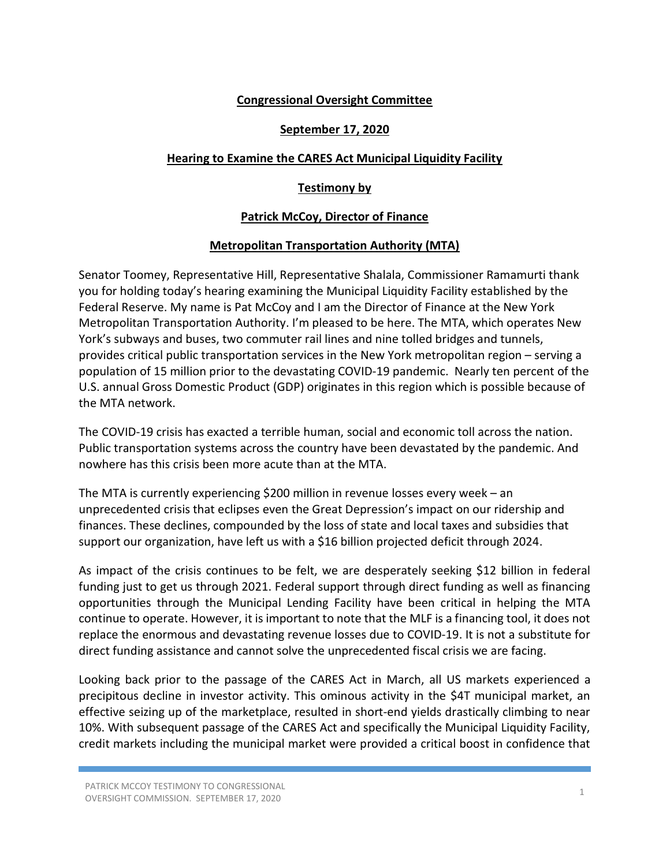## Congressional Oversight Committee

#### September 17, 2020

# Hearing to Examine the CARES Act Municipal Liquidity Facility

# Testimony by

## Patrick McCoy, Director of Finance

## Metropolitan Transportation Authority (MTA)

Senator Toomey, Representative Hill, Representative Shalala, Commissioner Ramamurti thank you for holding today's hearing examining the Municipal Liquidity Facility established by the Federal Reserve. My name is Pat McCoy and I am the Director of Finance at the New York Metropolitan Transportation Authority. I'm pleased to be here. The MTA, which operates New York's subways and buses, two commuter rail lines and nine tolled bridges and tunnels, provides critical public transportation services in the New York metropolitan region – serving a population of 15 million prior to the devastating COVID-19 pandemic. Nearly ten percent of the U.S. annual Gross Domestic Product (GDP) originates in this region which is possible because of the MTA network.

The COVID-19 crisis has exacted a terrible human, social and economic toll across the nation. Public transportation systems across the country have been devastated by the pandemic. And nowhere has this crisis been more acute than at the MTA.

The MTA is currently experiencing \$200 million in revenue losses every week – an unprecedented crisis that eclipses even the Great Depression's impact on our ridership and finances. These declines, compounded by the loss of state and local taxes and subsidies that support our organization, have left us with a \$16 billion projected deficit through 2024.

As impact of the crisis continues to be felt, we are desperately seeking \$12 billion in federal funding just to get us through 2021. Federal support through direct funding as well as financing opportunities through the Municipal Lending Facility have been critical in helping the MTA continue to operate. However, it is important to note that the MLF is a financing tool, it does not replace the enormous and devastating revenue losses due to COVID-19. It is not a substitute for direct funding assistance and cannot solve the unprecedented fiscal crisis we are facing.

Looking back prior to the passage of the CARES Act in March, all US markets experienced a precipitous decline in investor activity. This ominous activity in the \$4T municipal market, an effective seizing up of the marketplace, resulted in short-end yields drastically climbing to near 10%. With subsequent passage of the CARES Act and specifically the Municipal Liquidity Facility, credit markets including the municipal market were provided a critical boost in confidence that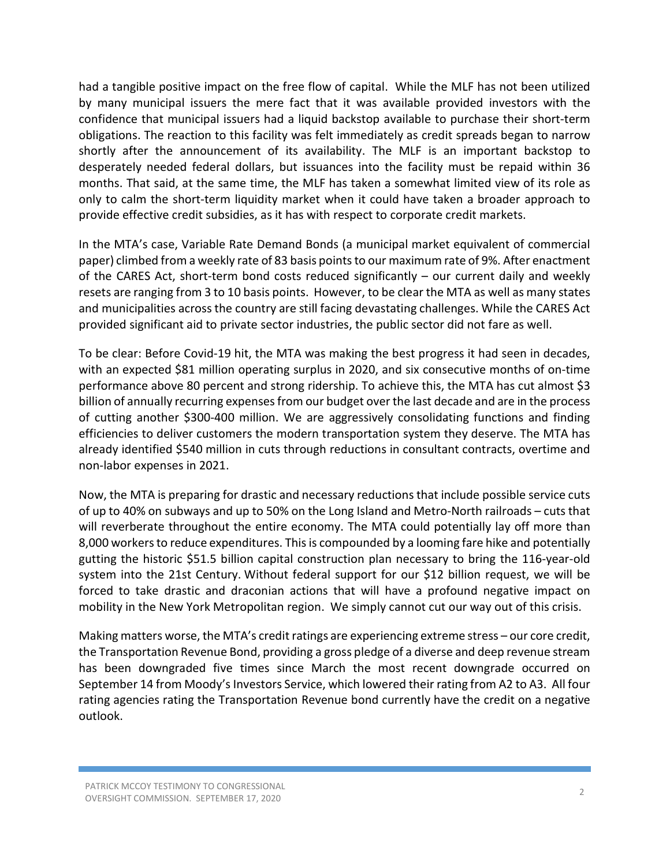had a tangible positive impact on the free flow of capital. While the MLF has not been utilized by many municipal issuers the mere fact that it was available provided investors with the confidence that municipal issuers had a liquid backstop available to purchase their short-term obligations. The reaction to this facility was felt immediately as credit spreads began to narrow shortly after the announcement of its availability. The MLF is an important backstop to desperately needed federal dollars, but issuances into the facility must be repaid within 36 months. That said, at the same time, the MLF has taken a somewhat limited view of its role as only to calm the short-term liquidity market when it could have taken a broader approach to provide effective credit subsidies, as it has with respect to corporate credit markets.

In the MTA's case, Variable Rate Demand Bonds (a municipal market equivalent of commercial paper) climbed from a weekly rate of 83 basis points to our maximum rate of 9%. After enactment of the CARES Act, short-term bond costs reduced significantly – our current daily and weekly resets are ranging from 3 to 10 basis points. However, to be clear the MTA as well as many states and municipalities across the country are still facing devastating challenges. While the CARES Act provided significant aid to private sector industries, the public sector did not fare as well.

To be clear: Before Covid-19 hit, the MTA was making the best progress it had seen in decades, with an expected \$81 million operating surplus in 2020, and six consecutive months of on-time performance above 80 percent and strong ridership. To achieve this, the MTA has cut almost \$3 billion of annually recurring expenses from our budget over the last decade and are in the process of cutting another \$300-400 million. We are aggressively consolidating functions and finding efficiencies to deliver customers the modern transportation system they deserve. The MTA has already identified \$540 million in cuts through reductions in consultant contracts, overtime and non-labor expenses in 2021.

Now, the MTA is preparing for drastic and necessary reductions that include possible service cuts of up to 40% on subways and up to 50% on the Long Island and Metro-North railroads – cuts that will reverberate throughout the entire economy. The MTA could potentially lay off more than 8,000 workers to reduce expenditures. This is compounded by a looming fare hike and potentially gutting the historic \$51.5 billion capital construction plan necessary to bring the 116-year-old system into the 21st Century. Without federal support for our \$12 billion request, we will be forced to take drastic and draconian actions that will have a profound negative impact on mobility in the New York Metropolitan region. We simply cannot cut our way out of this crisis.

Making matters worse, the MTA's credit ratings are experiencing extreme stress – our core credit, the Transportation Revenue Bond, providing a gross pledge of a diverse and deep revenue stream has been downgraded five times since March the most recent downgrade occurred on September 14 from Moody's Investors Service, which lowered their rating from A2 to A3. All four rating agencies rating the Transportation Revenue bond currently have the credit on a negative outlook.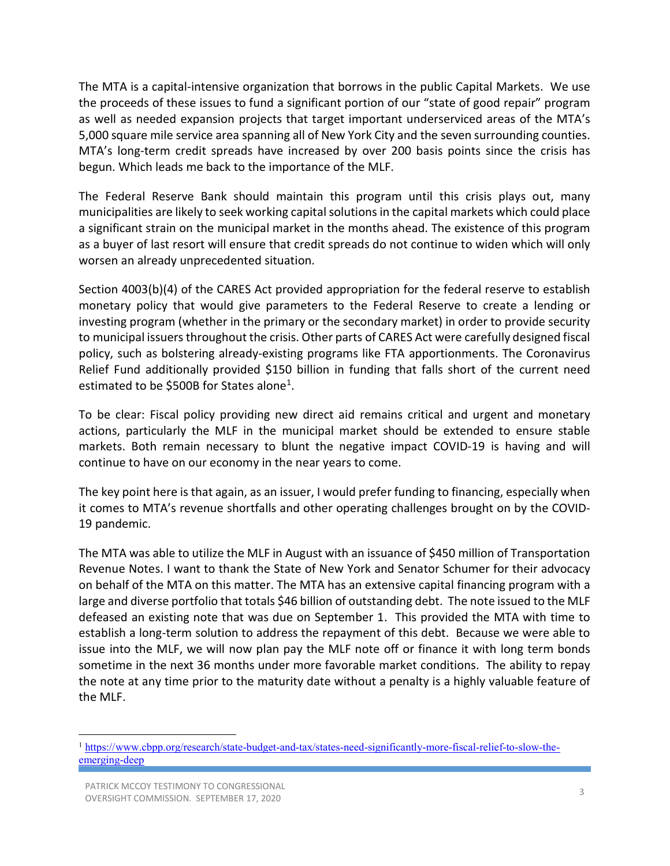The MTA is a capital-intensive organization that borrows in the public Capital Markets. We use the proceeds of these issues to fund a significant portion of our "state of good repair" program as well as needed expansion projects that target important underserviced areas of the MTA's 5,000 square mile service area spanning all of New York City and the seven surrounding counties. MTA's long-term credit spreads have increased by over 200 basis points since the crisis has begun. Which leads me back to the importance of the MLF.

The Federal Reserve Bank should maintain this program until this crisis plays out, many municipalities are likely to seek working capital solutions in the capital markets which could place a significant strain on the municipal market in the months ahead. The existence of this program as a buyer of last resort will ensure that credit spreads do not continue to widen which will only worsen an already unprecedented situation.

Section 4003(b)(4) of the CARES Act provided appropriation for the federal reserve to establish monetary policy that would give parameters to the Federal Reserve to create a lending or investing program (whether in the primary or the secondary market) in order to provide security to municipal issuers throughout the crisis. Other parts of CARES Act were carefully designed fiscal policy, such as bolstering already-existing programs like FTA apportionments. The Coronavirus Relief Fund additionally provided \$150 billion in funding that falls short of the current need estimated to be \$500B for States alone<sup>1</sup>.

To be clear: Fiscal policy providing new direct aid remains critical and urgent and monetary actions, particularly the MLF in the municipal market should be extended to ensure stable markets. Both remain necessary to blunt the negative impact COVID-19 is having and will continue to have on our economy in the near years to come.

The key point here is that again, as an issuer, I would prefer funding to financing, especially when it comes to MTA's revenue shortfalls and other operating challenges brought on by the COVID-19 pandemic.

The MTA was able to utilize the MLF in August with an issuance of \$450 million of Transportation Revenue Notes. I want to thank the State of New York and Senator Schumer for their advocacy on behalf of the MTA on this matter. The MTA has an extensive capital financing program with a large and diverse portfolio that totals \$46 billion of outstanding debt. The note issued to the MLF defeased an existing note that was due on September 1. This provided the MTA with time to establish a long-term solution to address the repayment of this debt. Because we were able to issue into the MLF, we will now plan pay the MLF note off or finance it with long term bonds sometime in the next 36 months under more favorable market conditions. The ability to repay the note at any time prior to the maturity date without a penalty is a highly valuable feature of the MLF.

<sup>1</sup> https://www.cbpp.org/research/state-budget-and-tax/states-need-significantly-more-fiscal-relief-to-slow-theemerging-deep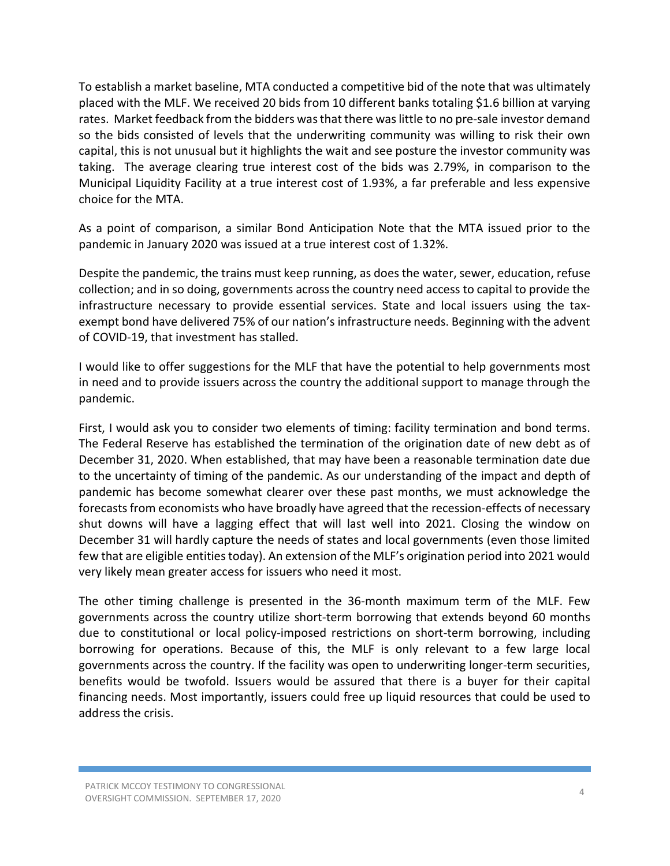To establish a market baseline, MTA conducted a competitive bid of the note that was ultimately placed with the MLF. We received 20 bids from 10 different banks totaling \$1.6 billion at varying rates. Market feedback from the bidders was that there was little to no pre-sale investor demand so the bids consisted of levels that the underwriting community was willing to risk their own capital, this is not unusual but it highlights the wait and see posture the investor community was taking. The average clearing true interest cost of the bids was 2.79%, in comparison to the Municipal Liquidity Facility at a true interest cost of 1.93%, a far preferable and less expensive choice for the MTA.

As a point of comparison, a similar Bond Anticipation Note that the MTA issued prior to the pandemic in January 2020 was issued at a true interest cost of 1.32%.

Despite the pandemic, the trains must keep running, as does the water, sewer, education, refuse collection; and in so doing, governments across the country need access to capital to provide the infrastructure necessary to provide essential services. State and local issuers using the taxexempt bond have delivered 75% of our nation's infrastructure needs. Beginning with the advent of COVID-19, that investment has stalled.

I would like to offer suggestions for the MLF that have the potential to help governments most in need and to provide issuers across the country the additional support to manage through the pandemic.

First, I would ask you to consider two elements of timing: facility termination and bond terms. The Federal Reserve has established the termination of the origination date of new debt as of December 31, 2020. When established, that may have been a reasonable termination date due to the uncertainty of timing of the pandemic. As our understanding of the impact and depth of pandemic has become somewhat clearer over these past months, we must acknowledge the forecasts from economists who have broadly have agreed that the recession-effects of necessary shut downs will have a lagging effect that will last well into 2021. Closing the window on December 31 will hardly capture the needs of states and local governments (even those limited few that are eligible entities today). An extension of the MLF's origination period into 2021 would very likely mean greater access for issuers who need it most.

The other timing challenge is presented in the 36-month maximum term of the MLF. Few governments across the country utilize short-term borrowing that extends beyond 60 months due to constitutional or local policy-imposed restrictions on short-term borrowing, including borrowing for operations. Because of this, the MLF is only relevant to a few large local governments across the country. If the facility was open to underwriting longer-term securities, benefits would be twofold. Issuers would be assured that there is a buyer for their capital financing needs. Most importantly, issuers could free up liquid resources that could be used to address the crisis.